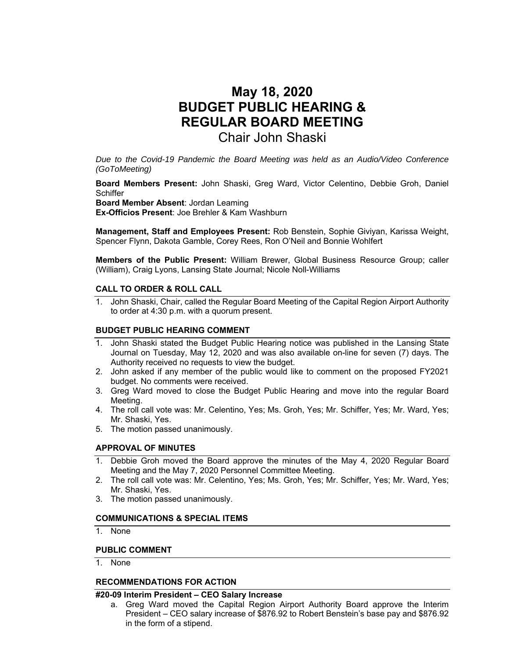# **May 18, 2020 BUDGET PUBLIC HEARING & REGULAR BOARD MEETING**  Chair John Shaski

*Due to the Covid-19 Pandemic the Board Meeting was held as an Audio/Video Conference (GoToMeeting)* 

**Board Members Present:** John Shaski, Greg Ward, Victor Celentino, Debbie Groh, Daniel **Schiffer** 

**Board Member Absent**: Jordan Leaming

**Ex-Officios Present**: Joe Brehler & Kam Washburn

**Management, Staff and Employees Present:** Rob Benstein, Sophie Giviyan, Karissa Weight, Spencer Flynn, Dakota Gamble, Corey Rees, Ron O'Neil and Bonnie Wohlfert

**Members of the Public Present:** William Brewer, Global Business Resource Group; caller (William), Craig Lyons, Lansing State Journal; Nicole Noll-Williams

### **CALL TO ORDER & ROLL CALL**

1. John Shaski, Chair, called the Regular Board Meeting of the Capital Region Airport Authority to order at 4:30 p.m. with a quorum present.

### **BUDGET PUBLIC HEARING COMMENT**

- 1. John Shaski stated the Budget Public Hearing notice was published in the Lansing State Journal on Tuesday, May 12, 2020 and was also available on-line for seven (7) days. The Authority received no requests to view the budget.
- 2. John asked if any member of the public would like to comment on the proposed FY2021 budget. No comments were received.
- 3. Greg Ward moved to close the Budget Public Hearing and move into the regular Board Meeting.
- 4. The roll call vote was: Mr. Celentino, Yes; Ms. Groh, Yes; Mr. Schiffer, Yes; Mr. Ward, Yes; Mr. Shaski, Yes.
- 5. The motion passed unanimously.

### **APPROVAL OF MINUTES**

- 1. Debbie Groh moved the Board approve the minutes of the May 4, 2020 Regular Board Meeting and the May 7, 2020 Personnel Committee Meeting.
- 2. The roll call vote was: Mr. Celentino, Yes; Ms. Groh, Yes; Mr. Schiffer, Yes; Mr. Ward, Yes; Mr. Shaski, Yes.
- 3. The motion passed unanimously.

### **COMMUNICATIONS & SPECIAL ITEMS**

1. None

### **PUBLIC COMMENT**

1. None

### **RECOMMENDATIONS FOR ACTION**

### **#20-09 Interim President – CEO Salary Increase**

a. Greg Ward moved the Capital Region Airport Authority Board approve the Interim President – CEO salary increase of \$876.92 to Robert Benstein's base pay and \$876.92 in the form of a stipend.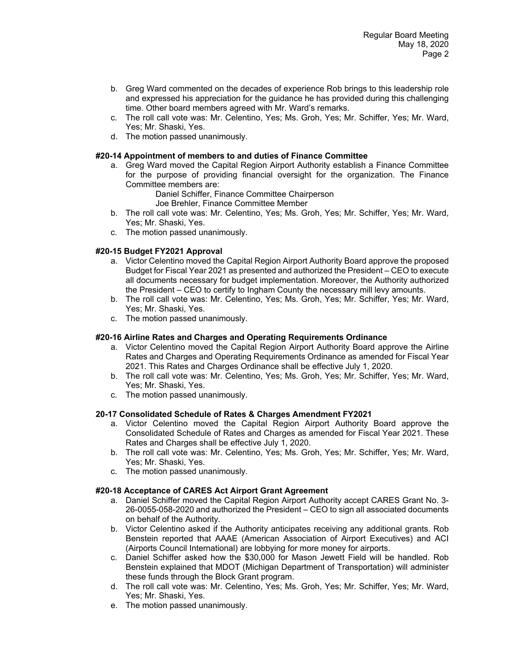- b. Greg Ward commented on the decades of experience Rob brings to this leadership role and expressed his appreciation for the guidance he has provided during this challenging time. Other board members agreed with Mr. Ward's remarks.
- c. The roll call vote was: Mr. Celentino, Yes; Ms. Groh, Yes; Mr. Schiffer, Yes; Mr. Ward, Yes; Mr. Shaski, Yes.
- d. The motion passed unanimously.

### **#20-14 Appointment of members to and duties of Finance Committee**

a. Greg Ward moved the Capital Region Airport Authority establish a Finance Committee for the purpose of providing financial oversight for the organization. The Finance Committee members are:

Daniel Schiffer, Finance Committee Chairperson

- Joe Brehler, Finance Committee Member
- b. The roll call vote was: Mr. Celentino, Yes; Ms. Groh, Yes; Mr. Schiffer, Yes; Mr. Ward, Yes; Mr. Shaski, Yes.
- c. The motion passed unanimously.

### **#20-15 Budget FY2021 Approval**

- a. Victor Celentino moved the Capital Region Airport Authority Board approve the proposed Budget for Fiscal Year 2021 as presented and authorized the President – CEO to execute all documents necessary for budget implementation. Moreover, the Authority authorized the President – CEO to certify to Ingham County the necessary mill levy amounts.
- b. The roll call vote was: Mr. Celentino, Yes; Ms. Groh, Yes; Mr. Schiffer, Yes; Mr. Ward, Yes; Mr. Shaski, Yes.
- c. The motion passed unanimously.

### **#20-16 Airline Rates and Charges and Operating Requirements Ordinance**

- a. Victor Celentino moved the Capital Region Airport Authority Board approve the Airline Rates and Charges and Operating Requirements Ordinance as amended for Fiscal Year 2021. This Rates and Charges Ordinance shall be effective July 1, 2020.
- b. The roll call vote was: Mr. Celentino, Yes; Ms. Groh, Yes; Mr. Schiffer, Yes; Mr. Ward, Yes; Mr. Shaski, Yes.
- c. The motion passed unanimously.

### **20-17 Consolidated Schedule of Rates & Charges Amendment FY2021**

- a. Victor Celentino moved the Capital Region Airport Authority Board approve the Consolidated Schedule of Rates and Charges as amended for Fiscal Year 2021. These Rates and Charges shall be effective July 1, 2020.
- b. The roll call vote was: Mr. Celentino, Yes; Ms. Groh, Yes; Mr. Schiffer, Yes; Mr. Ward, Yes; Mr. Shaski, Yes.
- c. The motion passed unanimously.

### **#20-18 Acceptance of CARES Act Airport Grant Agreement**

- a. Daniel Schiffer moved the Capital Region Airport Authority accept CARES Grant No. 3- 26-0055-058-2020 and authorized the President – CEO to sign all associated documents on behalf of the Authority.
- b. Victor Celentino asked if the Authority anticipates receiving any additional grants. Rob Benstein reported that AAAE (American Association of Airport Executives) and ACI (Airports Council International) are lobbying for more money for airports.
- c. Daniel Schiffer asked how the \$30,000 for Mason Jewett Field will be handled. Rob Benstein explained that MDOT (Michigan Department of Transportation) will administer these funds through the Block Grant program.
- d. The roll call vote was: Mr. Celentino, Yes; Ms. Groh, Yes; Mr. Schiffer, Yes; Mr. Ward, Yes; Mr. Shaski, Yes.
- e. The motion passed unanimously.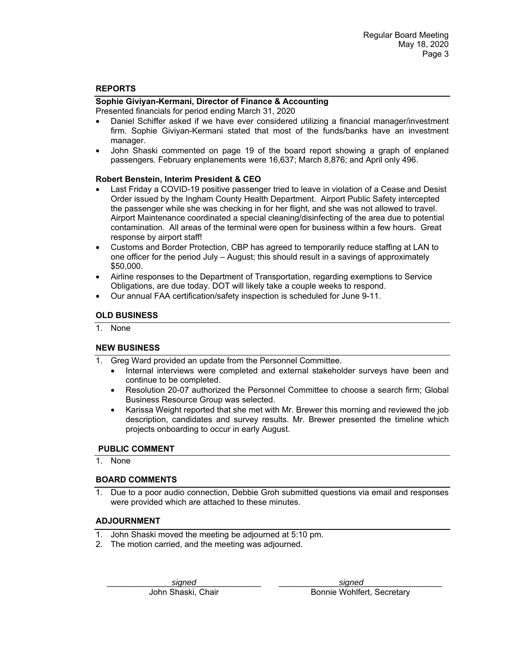### **REPORTS**

# **Sophie Giviyan-Kermani, Director of Finance & Accounting**

Presented financials for period ending March 31, 2020

- Daniel Schiffer asked if we have ever considered utilizing a financial manager/investment firm. Sophie Giviyan-Kermani stated that most of the funds/banks have an investment manager.
- John Shaski commented on page 19 of the board report showing a graph of enplaned passengers. February enplanements were 16,637; March 8,876; and April only 496.

### **Robert Benstein, Interim President & CEO**

- Last Friday a COVID-19 positive passenger tried to leave in violation of a Cease and Desist Order issued by the Ingham County Health Department. Airport Public Safety intercepted the passenger while she was checking in for her flight, and she was not allowed to travel. Airport Maintenance coordinated a special cleaning/disinfecting of the area due to potential contamination. All areas of the terminal were open for business within a few hours. Great response by airport staff!
- Customs and Border Protection, CBP has agreed to temporarily reduce staffing at LAN to one officer for the period July – August; this should result in a savings of approximately \$50,000.
- Airline responses to the Department of Transportation, regarding exemptions to Service Obligations, are due today. DOT will likely take a couple weeks to respond.
- Our annual FAA certification/safety inspection is scheduled for June 9-11.

### **OLD BUSINESS**

1. None

### **NEW BUSINESS**

- 1. Greg Ward provided an update from the Personnel Committee.
	- Internal interviews were completed and external stakeholder surveys have been and continue to be completed.
	- Resolution 20-07 authorized the Personnel Committee to choose a search firm; Global Business Resource Group was selected.
	- Karissa Weight reported that she met with Mr. Brewer this morning and reviewed the job description, candidates and survey results. Mr. Brewer presented the timeline which projects onboarding to occur in early August.

### **PUBLIC COMMENT**

1. None

### **BOARD COMMENTS**

1. Due to a poor audio connection, Debbie Groh submitted questions via email and responses were provided which are attached to these minutes.

### **ADJOURNMENT**

- 1. John Shaski moved the meeting be adjourned at 5:10 pm.
- 2. The motion carried, and the meeting was adjourned.

\_\_\_\_\_\_\_\_\_\_\_\_\_\_*signed*\_\_\_\_\_\_\_\_\_\_\_\_\_\_ \_\_\_\_\_\_\_\_\_\_\_\_\_*signed*\_\_\_\_\_\_\_\_\_\_\_\_\_\_\_\_\_

John Shaski, Chair **Bonnie Wohlfert, Secretary**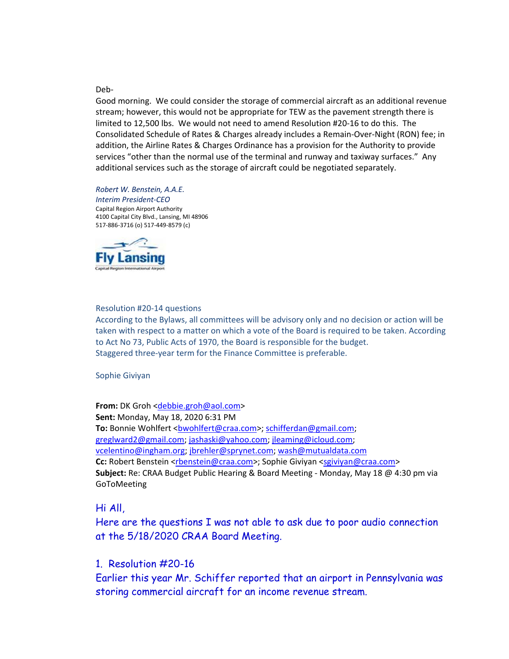### Deb-

Good morning. We could consider the storage of commercial aircraft as an additional revenue stream; however, this would not be appropriate for TEW as the pavement strength there is limited to 12,500 lbs. We would not need to amend Resolution #20-16 to do this. The Consolidated Schedule of Rates & Charges already includes a Remain-Over-Night (RON) fee; in addition, the Airline Rates & Charges Ordinance has a provision for the Authority to provide services "other than the normal use of the terminal and runway and taxiway surfaces." Any additional services such as the storage of aircraft could be negotiated separately.

### *Robert W. Benstein, A.A.E.*

*Interim President-CEO*  Capital Region Airport Authority 4100 Capital City Blvd., Lansing, MI 48906 517-886-3716 (o) 517-449-8579 (c)



### Resolution #20-14 questions

According to the Bylaws, all committees will be advisory only and no decision or action will be taken with respect to a matter on which a vote of the Board is required to be taken. According to Act No 73, Public Acts of 1970, the Board is responsible for the budget. Staggered three-year term for the Finance Committee is preferable.

Sophie Giviyan

**From:** DK Groh <debbie.groh@aol.com> **Sent:** Monday, May 18, 2020 6:31 PM **To:** Bonnie Wohlfert <br />
combination>; schifferdan@gmail.com; greglward2@gmail.com; jashaski@yahoo.com; jleaming@icloud.com; vcelentino@ingham.org; jbrehler@sprynet.com; wash@mutualdata.com **Cc:** Robert Benstein <rbenstein@craa.com>; Sophie Giviyan <sgiviyan@craa.com> **Subject:** Re: CRAA Budget Public Hearing & Board Meeting - Monday, May 18 @ 4:30 pm via GoToMeeting

## Hi All,

Here are the questions I was not able to ask due to poor audio connection at the 5/18/2020 CRAA Board Meeting.

# 1. Resolution #20-16

Earlier this year Mr. Schiffer reported that an airport in Pennsylvania was storing commercial aircraft for an income revenue stream.